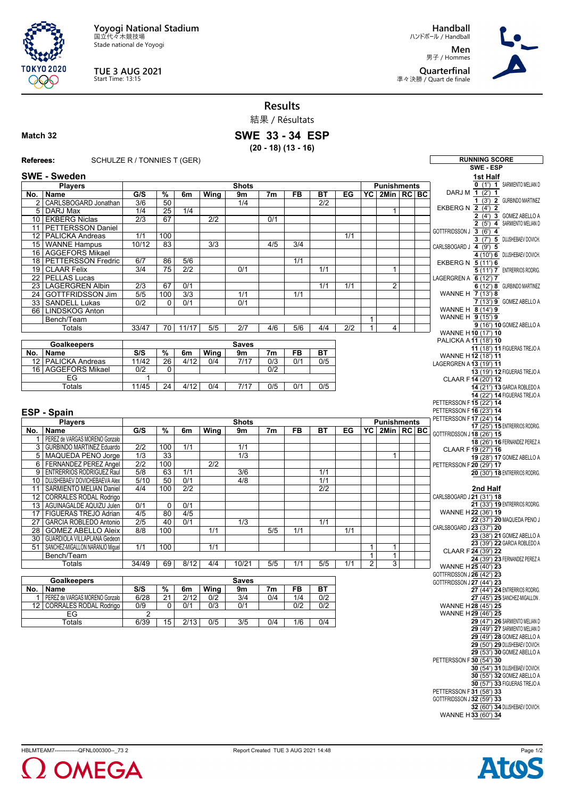**Yoyogi National Stadium** 国立代々木競技場

Stade national de Yoyogi



**TUE 3 AUG 2021** Start Time: 13:15

**Handball** ハンドボール / Handball **Men**

男子 / Hommes **Quarterfinal** 準々決勝 / Quart de finale



**Results**

|                 |                                                                   |                        |                          |                         |                  |                  | 結果 / Résultats         |                  |                  |     |                |                     |  |                                                         |                                                              |
|-----------------|-------------------------------------------------------------------|------------------------|--------------------------|-------------------------|------------------|------------------|------------------------|------------------|------------------|-----|----------------|---------------------|--|---------------------------------------------------------|--------------------------------------------------------------|
| Match 32        |                                                                   |                        |                          |                         |                  |                  | <b>SWE 33 - 34 ESP</b> |                  |                  |     |                |                     |  |                                                         |                                                              |
|                 |                                                                   |                        |                          |                         |                  |                  | $(20 - 18) (13 - 16)$  |                  |                  |     |                |                     |  |                                                         |                                                              |
| Referees:       | SCHULZE R / TONNIES T (GER)                                       |                        |                          |                         |                  |                  |                        |                  |                  |     |                |                     |  |                                                         | <b>RUNNING SCORE</b>                                         |
|                 |                                                                   |                        |                          |                         |                  |                  |                        |                  |                  |     |                |                     |  |                                                         | SWE - ESP                                                    |
|                 | <b>SWE - Sweden</b><br><b>Players</b>                             |                        |                          |                         |                  | <b>Shots</b>     |                        |                  |                  |     |                | <b>Punishments</b>  |  |                                                         | 1st Half<br>O (1') 1 SARMIENTO MELIAN D                      |
| No.             | Name                                                              | G/S                    | %                        | 6m                      | Wing             | 9 <sub>m</sub>   | 7 <sub>m</sub>         | FB               | ВT               | EG  |                | YC 2Min RC BC       |  | DARJ M 1 (2') 1                                         |                                                              |
|                 | 2   CARLSBOGARD Jonathan                                          | 3/6                    | 50                       |                         |                  | 1/4              |                        |                  | $\overline{2/2}$ |     |                |                     |  | EKBERG N 2 (4') 2                                       | 1 (3') 2 GURBINDO MARTINEZ                                   |
|                 | 5 DARJ Max<br>10 EKBERG Niclas                                    | 1/4<br>2/3             | $\overline{25}$<br>67    | 1/4                     | $\overline{2/2}$ |                  | 0/1                    |                  |                  |     |                | $\mathbf{1}$        |  |                                                         | 2 (4') 3 GOMEZ ABELLO A                                      |
|                 | 11   PETTERSSON Daniel                                            |                        |                          |                         |                  |                  |                        |                  |                  |     |                |                     |  |                                                         | 2 (5') 4 SARMIENTO MELIAN D                                  |
|                 | 12 PALICKA Andreas                                                | 1/1                    | 100                      |                         |                  |                  |                        |                  |                  | 1/1 |                |                     |  | GOTTFRIDSSON J 3 (6') 4                                 | 3 (7") 5 DUJSHEBAEV DOVICH.                                  |
|                 | 15 WANNE Hampus                                                   | 10/12                  | 83                       |                         | 3/3              |                  | 4/5                    | 3/4              |                  |     |                |                     |  | CARLSBOGARD J 4 (9') 5                                  |                                                              |
|                 | 16 AGGEFORS Mikael<br>18 PETTERSSON Fredric                       | 6/7                    | 86                       | 5/6                     |                  |                  |                        | 1/1              |                  |     |                |                     |  |                                                         | 4 (10') 6 DUJSHEBAEV DOVICH.                                 |
|                 | 19 CLAAR Felix                                                    | 3/4                    | 75                       | $\overline{2/2}$        |                  | 0/1              |                        |                  | $\overline{1/1}$ |     |                | 1                   |  | EKBERG N 5 (11') 6                                      | $5$ (11') $\overline{7}$ ENTRERRIOS RODRIG.                  |
|                 | 22 PELLAS Lucas                                                   |                        |                          |                         |                  |                  |                        |                  |                  |     |                |                     |  | LAGERGREN A 6 (12') 7                                   |                                                              |
| 23              | <b>LAGERGREN Albin</b>                                            | $\overline{2/3}$       | 67                       | 0/1                     |                  |                  |                        |                  | 1/1              | 1/1 |                | $\overline{2}$      |  |                                                         | 6 (12') 8 GURBINDO MARTINEZ                                  |
|                 | 24 GOTTFRIDSSON Jim<br>33 SANDELL Lukas                           | 5/5<br>0/2             | 100<br>$\Omega$          | $\overline{3/3}$<br>0/1 |                  | 1/1<br>0/1       |                        | 1/1              |                  |     |                |                     |  | WANNE H 7 (13') 8                                       | 7 (13') 9 GOMEZ ABELLO A                                     |
|                 | 66   LINDSKOG Anton                                               |                        |                          |                         |                  |                  |                        |                  |                  |     |                |                     |  | WANNE H 8 (14') 9                                       |                                                              |
|                 | Bench/Team                                                        |                        |                          |                         |                  |                  |                        |                  |                  |     | 1              |                     |  | WANNE H $\overline{9}$ (15') 9                          |                                                              |
|                 | Totals                                                            | 33/47                  | 70                       | 11/17                   | 5/5              | 2/7              | 4/6                    | 5/6              | 4/4              | 2/2 | $\mathbf{1}$   | 4                   |  | WANNE H10 (17') 10                                      | 9 (16') 10 GOMEZ ABELLO A                                    |
|                 | <b>Goalkeepers</b>                                                |                        |                          |                         |                  | <b>Saves</b>     |                        |                  |                  |     |                |                     |  | PALICKA A 11 (18') 10                                   |                                                              |
| No.             | Name                                                              | S/S                    | %                        | 6m                      | Wing             | 9m               | 7m                     | FB               | ВT               |     |                |                     |  |                                                         | 11 (18') 11 FIGUERAS TREJO A                                 |
|                 | 12   PALICKA Andreas                                              | 11/42                  | 26                       | 4/12                    | 0/4              | 7/17             | 0/3                    | 0/1              | 0/5              |     |                |                     |  | WANNE H12 (18') 11<br>LAGERGREN A 13 (19') 11           |                                                              |
|                 | 16 AGGEFORS Mikael                                                | $\overline{0/2}$       | $\mathbf 0$              |                         |                  |                  | 0/2                    |                  |                  |     |                |                     |  |                                                         | 13 (19') 12 FIGUERAS TREJO A                                 |
|                 | EG<br><b>Totals</b>                                               | 1<br>11/45             | 24                       | 4/12                    | 0/4              | 7/17             | 0/5                    | 0/1              | 0/5              |     |                |                     |  | CLAAR F 14 (20') 12                                     |                                                              |
|                 |                                                                   |                        |                          |                         |                  |                  |                        |                  |                  |     |                |                     |  |                                                         | 14 (21') 13 GARCIA ROBLEDO A<br>14 (22') 14 FIGUERAS TREJO A |
|                 |                                                                   |                        |                          |                         |                  |                  |                        |                  |                  |     |                |                     |  | PETTERSSON F 15 (22') 14                                |                                                              |
|                 |                                                                   |                        |                          |                         |                  |                  |                        |                  |                  |     |                |                     |  |                                                         |                                                              |
|                 | <b>ESP - Spain</b>                                                |                        |                          |                         |                  |                  |                        |                  |                  |     |                |                     |  | PETTERSSON F 16 (23') 14                                |                                                              |
|                 | <b>Players</b>                                                    |                        |                          |                         |                  | <b>Shots</b>     |                        |                  |                  |     |                | <b>Punishments</b>  |  | PETTERSSON F 17 (24') 14                                | 17 (25') 15 ENTRERRIOS RODRIG.                               |
|                 | No.   Name                                                        | G/S                    | %                        | 6m                      | Wing             | 9m               | 7 <sub>m</sub>         | FB               | ВT               | EG  |                | YC   2Min   RC   BC |  | GOTTFRIDSSON J 18 (26') 15                              |                                                              |
|                 | 1   PEREZ de VARGAS MORENO Gonzalo<br>3 GURBINDO MARTINEZ Eduardo | 2/2                    | 100                      | 1/1                     |                  | 1/1              |                        |                  |                  |     |                |                     |  |                                                         | 18 (26') 16 FERNANDEZ PEREZ A                                |
|                 | 5   MAQUEDA PENO Jorge                                            | $\overline{1/3}$       | $\overline{33}$          |                         |                  | $\overline{1/3}$ |                        |                  |                  |     |                | $\mathbf{1}$        |  | CLAAR F19 (27') 16                                      | 19 (28') 17 GOMEZ ABELLO A                                   |
|                 | 6 FERNANDEZ PEREZ Angel                                           | $\overline{2/2}$       | 100                      |                         | 2/2              |                  |                        |                  |                  |     |                |                     |  | PETTERSSON F 20 (29') 17                                |                                                              |
| 9               | <b>ENTRERRIOS RODRIGUEZ Raul</b>                                  | $\overline{5/8}$       | 63                       | 1/1                     |                  | 3/6              |                        |                  | 1/1              |     |                |                     |  |                                                         | 20 (30') 18 ENTRERRIOS RODRIG.                               |
|                 | 10   DUJSHEBAEV DOVICHEBAEVA Alex                                 | 5/10<br>4/4            | 50<br>100                | 0/1<br>2/2              |                  | 4/8              |                        |                  | 1/1<br>2/2       |     |                |                     |  |                                                         | 2nd Half                                                     |
|                 | 11   SARMIENTO MELIAN Daniel<br>12 CORRALES RODAL Rodrigo         |                        |                          |                         |                  |                  |                        |                  |                  |     |                |                     |  | CARLSBOGARD J21 (31') 18                                |                                                              |
|                 | 13   AGUINAGALDE AQUIZU Julen                                     | 0/1                    | 0                        | 0/1                     |                  |                  |                        |                  |                  |     |                |                     |  |                                                         | 21 (33') 19 ENTRERRIOS RODRIG.                               |
| 17              | <b>FIGUERAS TREJO Adrian</b>                                      | 4/5                    | 80                       | 4/5                     |                  |                  |                        |                  |                  |     |                |                     |  | WANNE H22 (36') 19                                      |                                                              |
| 27              | <b>GARCIA ROBLEDO Antonio</b>                                     | 2/5                    | 40                       | 0/1                     |                  | 1/3              |                        |                  | 1/1              |     |                |                     |  | CARLSBOGARD J 23 (37') 20                               | 22 (37') 20 MAQUEDA PENO J                                   |
| 28              | <b>GOMEZ ABELLO Aleix</b><br>30 GUARDIOLA VILLAPLANA Gedeon       | 8/8                    | 100                      |                         | 1/1              |                  | $\overline{5/5}$       | $\overline{1/1}$ |                  | 1/1 |                |                     |  |                                                         | 23 (38') 21 GOMEZ ABELLO A                                   |
|                 | 51   SANCHEZ-MIGALLON NARANJO Miquel                              | 1/1                    | 100                      |                         | 1/1              |                  |                        |                  |                  |     | $\mathbf{1}$   | $\mathbf{1}$        |  |                                                         | 23 (39') 22 GARCIA ROBLEDO A                                 |
|                 | Bench/Team                                                        |                        |                          |                         |                  |                  |                        |                  |                  |     | $\mathbf{1}$   | $\mathbf{1}$        |  | CLAAR F 24 (39') 22                                     | 24 (39') 23 FERNANDEZ PEREZ A                                |
|                 | Totals                                                            | 34/49                  | 69                       | 8/12                    | 4/4              | 10/21            | 5/5                    | 1/1              | 5/5              | 1/1 | $\overline{2}$ | $\overline{3}$      |  | WANNE H25 (40') 23                                      |                                                              |
|                 | <b>Goalkeepers</b>                                                |                        |                          |                         |                  | <b>Saves</b>     |                        |                  |                  |     |                |                     |  | GOTTFRIDSSON J 26 (42') 23<br>GOTTFRIDSSON J27 (44') 23 |                                                              |
| No.             | Name                                                              | S/S                    | $\overline{\frac{9}{6}}$ | 6m                      | <b>Wing</b>      | 9m               | 7m                     | FB               | BT               |     |                |                     |  |                                                         | 27 (44') 24 ENTRERRIOS RODRIG.                               |
| $\mathbf{1}$    | PEREZ de VARGAS MORENO Gonzalo                                    | 6/28                   | $\overline{21}$          | 2/12                    | 0/2              | 3/4              | 0/4                    | 1/4              | 0/2              |     |                |                     |  |                                                         | 27 (45') 25 SANCHEZ-MIGALLON                                 |
| 12 <sub>1</sub> | <b>CORRALES RODAL Rodrigo</b>                                     | 0/9                    | $\mathbf 0$              | 0/1                     | 0/3              | 0/1              |                        | 0/2              | 0/2              |     |                |                     |  | WANNE H 28 (45') 25<br>WANNE H29 (46') 25               |                                                              |
|                 | EG<br><b>Totals</b>                                               | $\overline{2}$<br>6/39 | 15                       | 2/13                    | 0/5              | 3/5              | 0/4                    | 1/6              | 0/4              |     |                |                     |  |                                                         | 29 (47') 26 SARMIENTO MELIAN D                               |
|                 |                                                                   |                        |                          |                         |                  |                  |                        |                  |                  |     |                |                     |  |                                                         | 29 (49') 27 SARMIENTO MELIAN D                               |
|                 |                                                                   |                        |                          |                         |                  |                  |                        |                  |                  |     |                |                     |  |                                                         | 29 (49') 28 GOMEZ ABELLO A<br>29 (50') 29 DUJSHEBAEV DOVICH. |
|                 |                                                                   |                        |                          |                         |                  |                  |                        |                  |                  |     |                |                     |  |                                                         | 29 (53') 30 GOMEZ ABELLO A                                   |
|                 |                                                                   |                        |                          |                         |                  |                  |                        |                  |                  |     |                |                     |  | PETTERSSON F 30 (54') 30                                |                                                              |
|                 |                                                                   |                        |                          |                         |                  |                  |                        |                  |                  |     |                |                     |  |                                                         | 30 (54') 31 DUJSHEBAEV DOVICH.<br>30 (55') 32 GOMEZ ABELLO A |
|                 |                                                                   |                        |                          |                         |                  |                  |                        |                  |                  |     |                |                     |  |                                                         | 30 (57') 33 FIGUERAS TREJO A                                 |
|                 |                                                                   |                        |                          |                         |                  |                  |                        |                  |                  |     |                |                     |  | PETTERSSON F 31 (58') 33<br>GOTTFRIDSSON J 32 (59') 33  |                                                              |